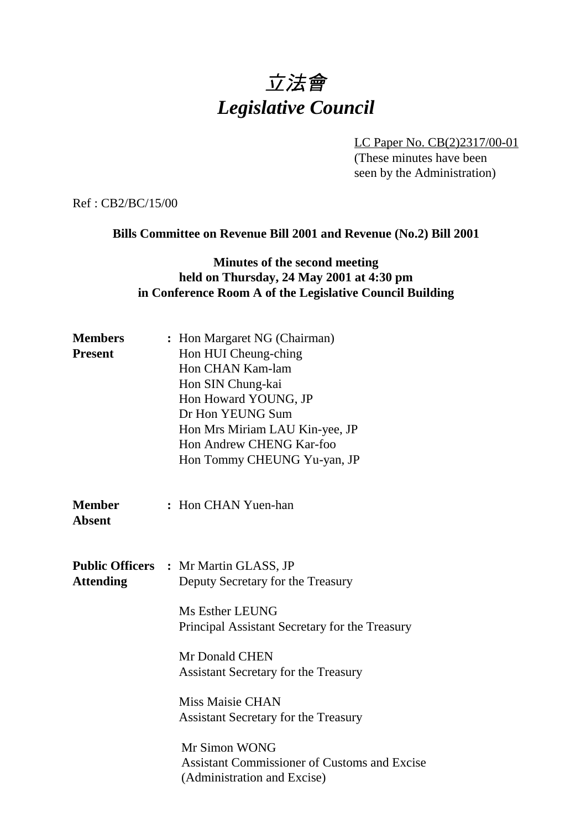# 立法會 *Legislative Council*

LC Paper No. CB(2)2317/00-01

(These minutes have been seen by the Administration)

Ref : CB2/BC/15/00

### **Bills Committee on Revenue Bill 2001 and Revenue (No.2) Bill 2001**

## **Minutes of the second meeting held on Thursday, 24 May 2001 at 4:30 pm in Conference Room A of the Legislative Council Building**

| <b>Members</b><br><b>Present</b> | : Hon Margaret NG (Chairman)<br>Hon HUI Cheung-ching<br>Hon CHAN Kam-lam<br>Hon SIN Chung-kai<br>Hon Howard YOUNG, JP<br>Dr Hon YEUNG Sum<br>Hon Mrs Miriam LAU Kin-yee, JP<br>Hon Andrew CHENG Kar-foo<br>Hon Tommy CHEUNG Yu-yan, JP                                                                                                                                    |
|----------------------------------|---------------------------------------------------------------------------------------------------------------------------------------------------------------------------------------------------------------------------------------------------------------------------------------------------------------------------------------------------------------------------|
| <b>Member</b><br><b>Absent</b>   | : Hon CHAN Yuen-han                                                                                                                                                                                                                                                                                                                                                       |
| <b>Attending</b>                 | <b>Public Officers : Mr Martin GLASS, JP</b><br>Deputy Secretary for the Treasury<br>Ms Esther LEUNG<br>Principal Assistant Secretary for the Treasury<br>Mr Donald CHEN<br><b>Assistant Secretary for the Treasury</b><br><b>Miss Maisie CHAN</b><br><b>Assistant Secretary for the Treasury</b><br>Mr Simon WONG<br><b>Assistant Commissioner of Customs and Excise</b> |
|                                  | (Administration and Excise)                                                                                                                                                                                                                                                                                                                                               |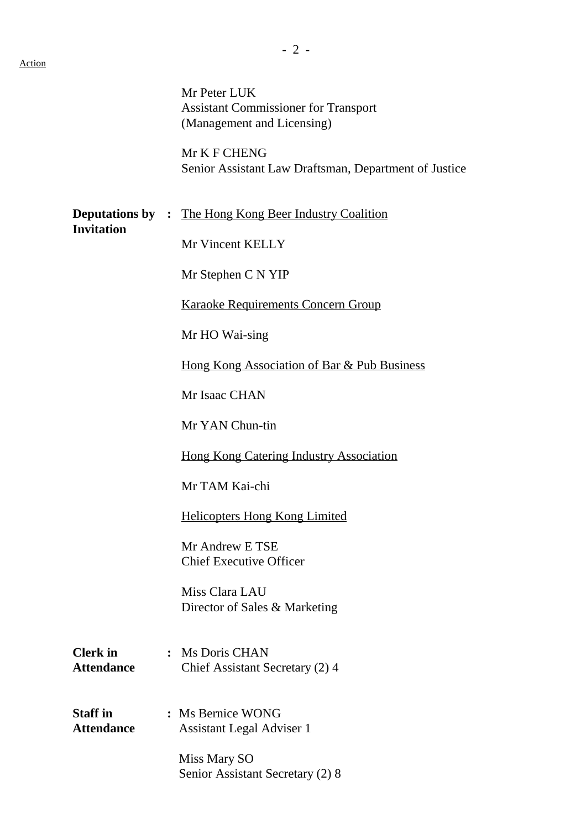|                                      | Mr Peter LUK<br><b>Assistant Commissioner for Transport</b><br>(Management and Licensing)<br>Mr K F CHENG<br>Senior Assistant Law Draftsman, Department of Justice |
|--------------------------------------|--------------------------------------------------------------------------------------------------------------------------------------------------------------------|
| <b>Invitation</b>                    | <b>Deputations by :</b> The Hong Kong Beer Industry Coalition<br>Mr Vincent KELLY                                                                                  |
|                                      | Mr Stephen C N YIP                                                                                                                                                 |
|                                      | <b>Karaoke Requirements Concern Group</b>                                                                                                                          |
|                                      | Mr HO Wai-sing                                                                                                                                                     |
|                                      | <u>Hong Kong Association of Bar &amp; Pub Business</u>                                                                                                             |
|                                      | Mr Isaac CHAN                                                                                                                                                      |
|                                      | Mr YAN Chun-tin                                                                                                                                                    |
|                                      | <b>Hong Kong Catering Industry Association</b>                                                                                                                     |
|                                      | Mr TAM Kai-chi                                                                                                                                                     |
|                                      | <u>Helicopters Hong Kong Limited</u>                                                                                                                               |
|                                      | Mr Andrew E TSE<br><b>Chief Executive Officer</b>                                                                                                                  |
|                                      | Miss Clara LAU<br>Director of Sales & Marketing                                                                                                                    |
| <b>Clerk</b> in<br><b>Attendance</b> | : Ms Doris CHAN<br>Chief Assistant Secretary (2) 4                                                                                                                 |
| <b>Staff in</b><br><b>Attendance</b> | : Ms Bernice WONG<br><b>Assistant Legal Adviser 1</b>                                                                                                              |
|                                      | Miss Mary SO<br>Senior Assistant Secretary (2) 8                                                                                                                   |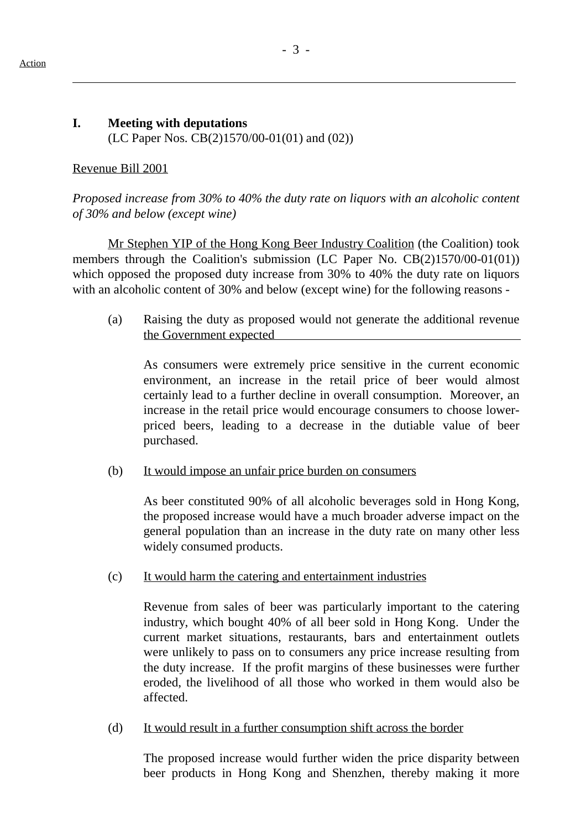$\overline{a}$ 

# **I. Meeting with deputations** (LC Paper Nos. CB(2)1570/00-01(01) and (02))

#### Revenue Bill 2001

*Proposed increase from 30% to 40% the duty rate on liquors with an alcoholic content of 30% and below (except wine)*

Mr Stephen YIP of the Hong Kong Beer Industry Coalition (the Coalition) took members through the Coalition's submission (LC Paper No. CB(2)1570/00-01(01)) which opposed the proposed duty increase from 30% to 40% the duty rate on liquors with an alcoholic content of 30% and below (except wine) for the following reasons -

(a) Raising the duty as proposed would not generate the additional revenue the Government expected

As consumers were extremely price sensitive in the current economic environment, an increase in the retail price of beer would almost certainly lead to a further decline in overall consumption. Moreover, an increase in the retail price would encourage consumers to choose lowerpriced beers, leading to a decrease in the dutiable value of beer purchased.

### (b) It would impose an unfair price burden on consumers

As beer constituted 90% of all alcoholic beverages sold in Hong Kong, the proposed increase would have a much broader adverse impact on the general population than an increase in the duty rate on many other less widely consumed products.

(c) It would harm the catering and entertainment industries

Revenue from sales of beer was particularly important to the catering industry, which bought 40% of all beer sold in Hong Kong. Under the current market situations, restaurants, bars and entertainment outlets were unlikely to pass on to consumers any price increase resulting from the duty increase. If the profit margins of these businesses were further eroded, the livelihood of all those who worked in them would also be affected.

(d) It would result in a further consumption shift across the border

The proposed increase would further widen the price disparity between beer products in Hong Kong and Shenzhen, thereby making it more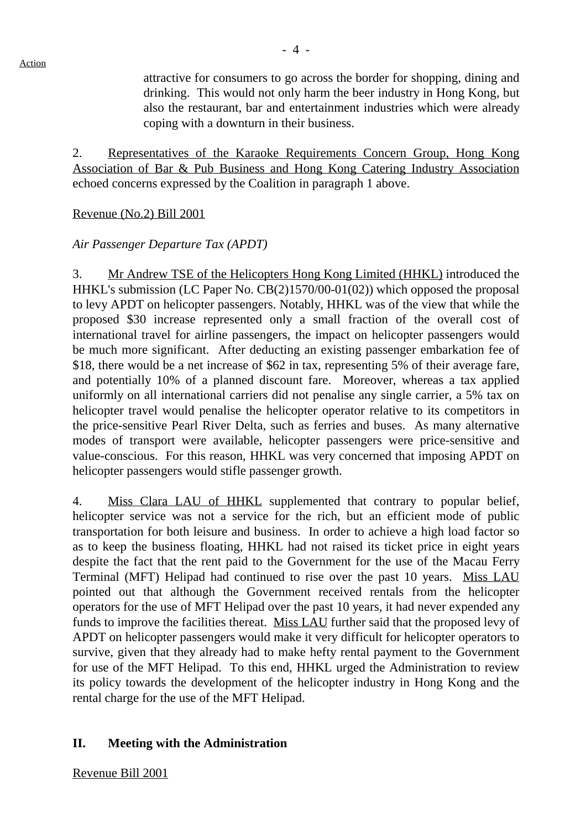attractive for consumers to go across the border for shopping, dining and drinking. This would not only harm the beer industry in Hong Kong, but also the restaurant, bar and entertainment industries which were already coping with a downturn in their business.

2. Representatives of the Karaoke Requirements Concern Group, Hong Kong Association of Bar & Pub Business and Hong Kong Catering Industry Association echoed concerns expressed by the Coalition in paragraph 1 above.

### Revenue (No.2) Bill 2001

### *Air Passenger Departure Tax (APDT)*

3. Mr Andrew TSE of the Helicopters Hong Kong Limited (HHKL) introduced the HHKL's submission (LC Paper No. CB(2)1570/00-01(02)) which opposed the proposal to levy APDT on helicopter passengers. Notably, HHKL was of the view that while the proposed \$30 increase represented only a small fraction of the overall cost of international travel for airline passengers, the impact on helicopter passengers would be much more significant. After deducting an existing passenger embarkation fee of \$18, there would be a net increase of \$62 in tax, representing 5% of their average fare, and potentially 10% of a planned discount fare. Moreover, whereas a tax applied uniformly on all international carriers did not penalise any single carrier, a 5% tax on helicopter travel would penalise the helicopter operator relative to its competitors in the price-sensitive Pearl River Delta, such as ferries and buses. As many alternative modes of transport were available, helicopter passengers were price-sensitive and value-conscious. For this reason, HHKL was very concerned that imposing APDT on helicopter passengers would stifle passenger growth.

4. Miss Clara LAU of HHKL supplemented that contrary to popular belief, helicopter service was not a service for the rich, but an efficient mode of public transportation for both leisure and business. In order to achieve a high load factor so as to keep the business floating, HHKL had not raised its ticket price in eight years despite the fact that the rent paid to the Government for the use of the Macau Ferry Terminal (MFT) Helipad had continued to rise over the past 10 years. Miss LAU pointed out that although the Government received rentals from the helicopter operators for the use of MFT Helipad over the past 10 years, it had never expended any funds to improve the facilities thereat. Miss LAU further said that the proposed levy of APDT on helicopter passengers would make it very difficult for helicopter operators to survive, given that they already had to make hefty rental payment to the Government for use of the MFT Helipad. To this end, HHKL urged the Administration to review its policy towards the development of the helicopter industry in Hong Kong and the rental charge for the use of the MFT Helipad.

### **II. Meeting with the Administration**

Revenue Bill 2001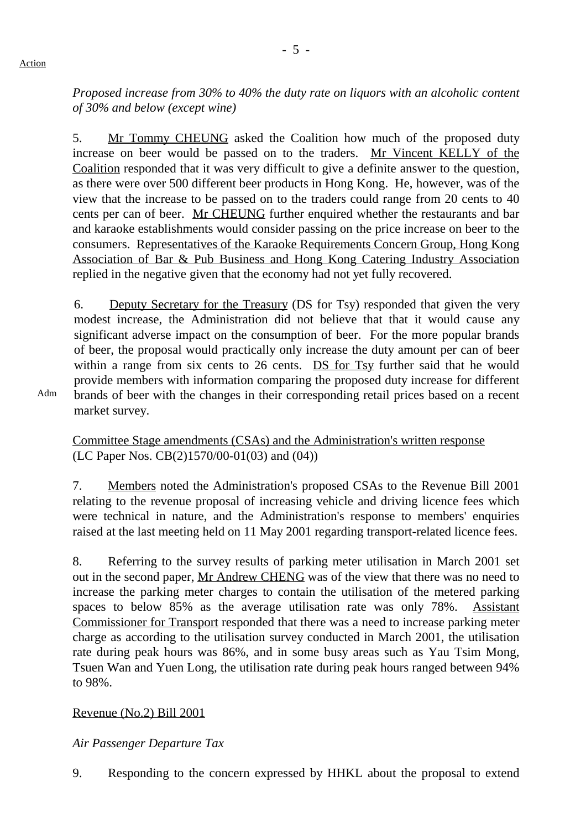Action

*Proposed increase from 30% to 40% the duty rate on liquors with an alcoholic content of 30% and below (except wine)*

5. Mr Tommy CHEUNG asked the Coalition how much of the proposed duty increase on beer would be passed on to the traders. Mr Vincent KELLY of the Coalition responded that it was very difficult to give a definite answer to the question, as there were over 500 different beer products in Hong Kong. He, however, was of the view that the increase to be passed on to the traders could range from 20 cents to 40 cents per can of beer. Mr CHEUNG further enquired whether the restaurants and bar and karaoke establishments would consider passing on the price increase on beer to the consumers. Representatives of the Karaoke Requirements Concern Group, Hong Kong Association of Bar & Pub Business and Hong Kong Catering Industry Association replied in the negative given that the economy had not yet fully recovered.

6. Deputy Secretary for the Treasury (DS for Tsy) responded that given the very modest increase, the Administration did not believe that that it would cause any significant adverse impact on the consumption of beer. For the more popular brands of beer, the proposal would practically only increase the duty amount per can of beer within a range from six cents to 26 cents. DS for Tsy further said that he would provide members with information comparing the proposed duty increase for different brands of beer with the changes in their corresponding retail prices based on a recent market survey.

Adm

Committee Stage amendments (CSAs) and the Administration's written response (LC Paper Nos. CB(2)1570/00-01(03) and (04))

7. Members noted the Administration's proposed CSAs to the Revenue Bill 2001 relating to the revenue proposal of increasing vehicle and driving licence fees which were technical in nature, and the Administration's response to members' enquiries raised at the last meeting held on 11 May 2001 regarding transport-related licence fees.

8. Referring to the survey results of parking meter utilisation in March 2001 set out in the second paper, Mr Andrew CHENG was of the view that there was no need to increase the parking meter charges to contain the utilisation of the metered parking spaces to below 85% as the average utilisation rate was only 78%. Assistant Commissioner for Transport responded that there was a need to increase parking meter charge as according to the utilisation survey conducted in March 2001, the utilisation rate during peak hours was 86%, and in some busy areas such as Yau Tsim Mong, Tsuen Wan and Yuen Long, the utilisation rate during peak hours ranged between 94% to 98%.

### Revenue (No.2) Bill 2001

*Air Passenger Departure Tax*

9. Responding to the concern expressed by HHKL about the proposal to extend